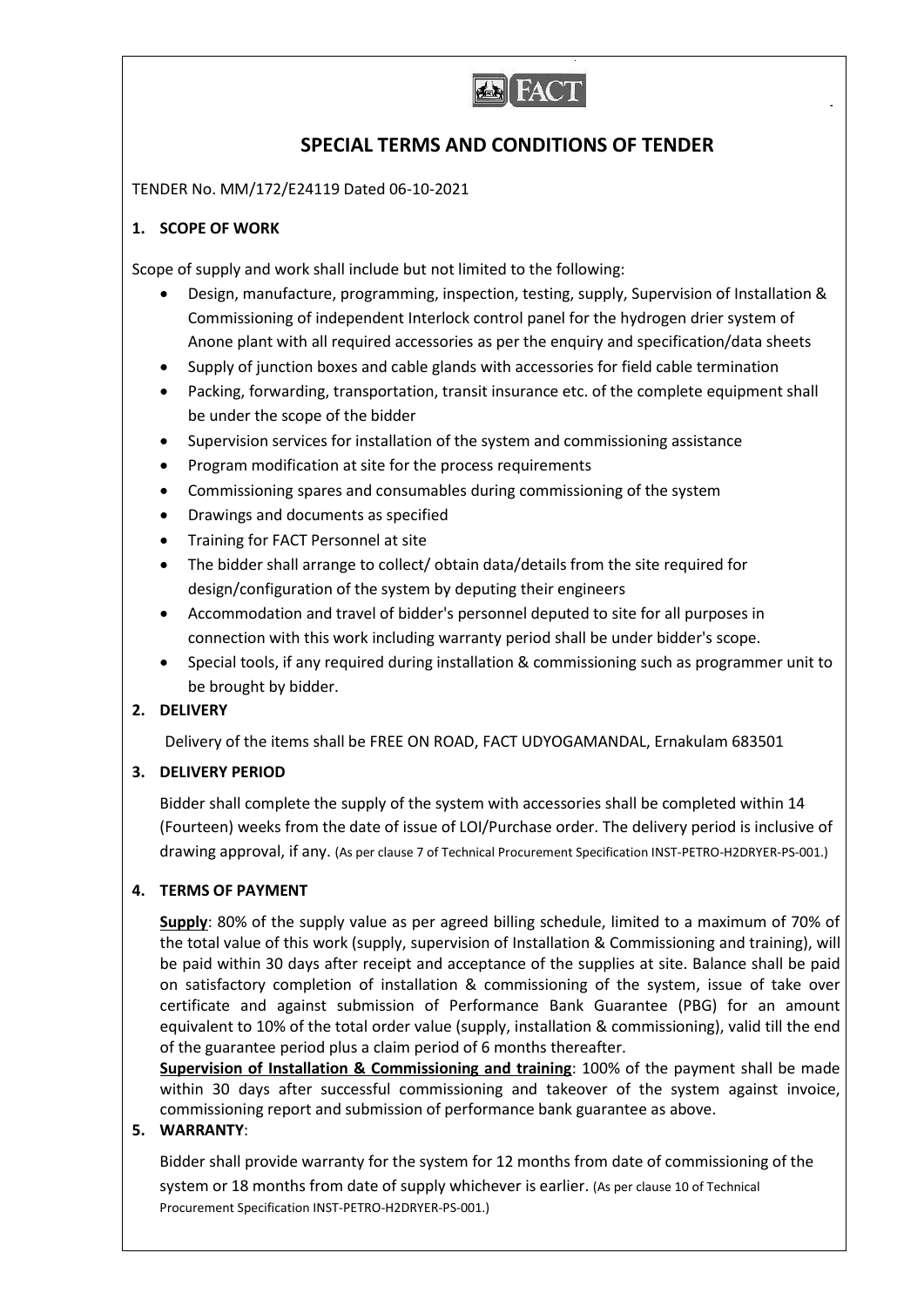

# **SPECIAL TERMS AND CONDITIONS OF TENDER**

TENDER No. MM/172/E24119 Dated 06-10-2021

# **1. SCOPE OF WORK**

Scope of supply and work shall include but not limited to the following:

- Design, manufacture, programming, inspection, testing, supply, Supervision of Installation & Commissioning of independent Interlock control panel for the hydrogen drier system of Anone plant with all required accessories as per the enquiry and specification/data sheets
- Supply of junction boxes and cable glands with accessories for field cable termination
- Packing, forwarding, transportation, transit insurance etc. of the complete equipment shall be under the scope of the bidder
- Supervision services for installation of the system and commissioning assistance
- Program modification at site for the process requirements
- Commissioning spares and consumables during commissioning of the system
- Drawings and documents as specified
- Training for FACT Personnel at site
- The bidder shall arrange to collect/ obtain data/details from the site required for design/configuration of the system by deputing their engineers
- Accommodation and travel of bidder's personnel deputed to site for all purposes in connection with this work including warranty period shall be under bidder's scope.
- Special tools, if any required during installation & commissioning such as programmer unit to be brought by bidder.

# **2. DELIVERY**

Delivery of the items shall be FREE ON ROAD, FACT UDYOGAMANDAL, Ernakulam 683501

# **3. DELIVERY PERIOD**

Bidder shall complete the supply of the system with accessories shall be completed within 14 (Fourteen) weeks from the date of issue of LOI/Purchase order. The delivery period is inclusive of drawing approval, if any. (As per clause 7 of Technical Procurement Specification INST-PETRO-H2DRYER-PS-001.)

# **4. TERMS OF PAYMENT**

**Supply**: 80% of the supply value as per agreed billing schedule, limited to a maximum of 70% of the total value of this work (supply, supervision of Installation & Commissioning and training), will be paid within 30 days after receipt and acceptance of the supplies at site. Balance shall be paid on satisfactory completion of installation & commissioning of the system, issue of take over certificate and against submission of Performance Bank Guarantee (PBG) for an amount equivalent to 10% of the total order value (supply, installation & commissioning), valid till the end of the guarantee period plus a claim period of 6 months thereafter.

**Supervision of Installation & Commissioning and training**: 100% of the payment shall be made within 30 days after successful commissioning and takeover of the system against invoice, commissioning report and submission of performance bank guarantee as above.

# **5. WARRANTY**:

Bidder shall provide warranty for the system for 12 months from date of commissioning of the system or 18 months from date of supply whichever is earlier. (As per clause 10 of Technical Procurement Specification INST-PETRO-H2DRYER-PS-001.)